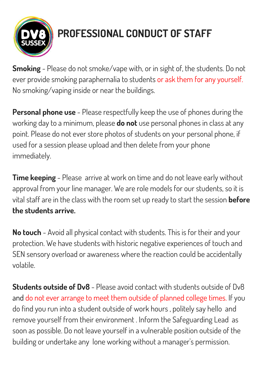

## **PROFESSIONAL CONDUCT OF STAFF**

**Smoking** - Please do not smoke/vape with, or in sight of, the students. Do not ever provide smoking paraphernalia to students or ask them for any yourself. No smoking/vaping inside or near the buildings.

**Personal phone use** - Please respectfully keep the use of phones during the working day to a minimum, please **do not** use personal phones in class at any point. Please do not ever store photos of students on your personal phone, if used for a session please upload and then delete from your phone immediately.

**Time keeping** - Please arrive at work on time and do not leave early without approval from your line manager. We are role models for our students, so it is vital staff are in the class with the room set up ready to start the session **before the students arrive.**

**No touch** - Avoid all physical contact with students. This is for their and your protection. We have students with historic negative experiences of touch and SEN sensory overload or awareness where the reaction could be accidentally volatile.

**Students outside of Dv8** - Please avoid contact with students outside of Dv8 and do not ever arrange to meet them outside of planned college times. If you do find you run into a student outside of work hours , politely say hello and remove yourself from their environment . Inform the Safeguarding Lead as soon as possible. Do not leave yourself in a vulnerable position outside of the building or undertake any lone working without a manager's permission.